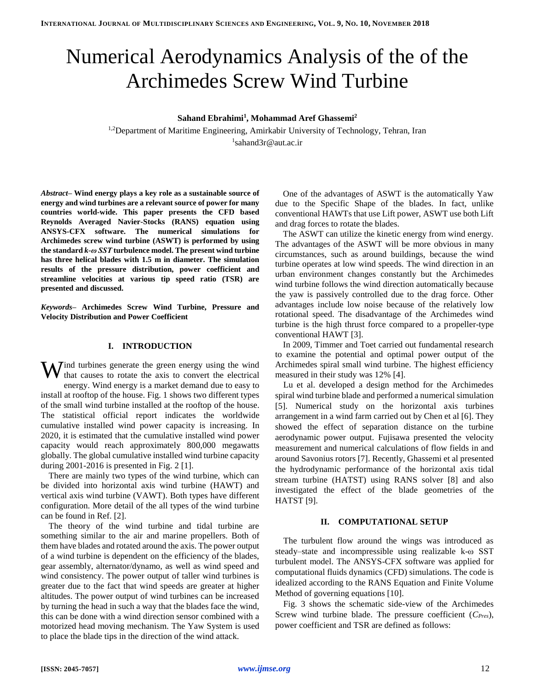# Numerical Aerodynamics Analysis of the of the Archimedes Screw Wind Turbine

## **Sahand Ebrahimi<sup>1</sup> , Mohammad Aref Ghassemi<sup>2</sup>**

<sup>1,2</sup>Department of Maritime Engineering, Amirkabir University of Technology, Tehran, Iran 1 sahand3r@aut.ac.ir

*Abstract–* **Wind energy plays a key role as a sustainable source of energy and wind turbines are a relevant source of power for many countries world-wide. This paper presents the CFD based Reynolds Averaged Navier-Stocks (RANS) equation using ANSYS-CFX software. The numerical simulations for Archimedes screw wind turbine (ASWT) is performed by using the standard** *k-ω SST* **turbulence model. The present wind turbine has three helical blades with 1.5 m in diameter. The simulation results of the pressure distribution, power coefficient and streamline velocities at various tip speed ratio (TSR) are presented and discussed.** 

*Keywords–* **Archimedes Screw Wind Turbine, Pressure and Velocity Distribution and Power Coefficient**

## **I. INTRODUCTION**

Wind turbines generate the green energy using the wind that causes to rotate the axis to convert the electrical that causes to rotate the axis to convert the electrical energy. Wind energy is a market demand due to easy to install at rooftop of the house. Fig. 1 shows two different types of the small wind turbine installed at the rooftop of the house. The statistical official report indicates the worldwide cumulative installed wind power capacity is increasing. In 2020, it is estimated that the cumulative installed wind power capacity would reach approximately 800,000 megawatts globally. The global cumulative installed wind turbine capacity during 2001-2016 is presented in Fig. 2 [1].

There are mainly two types of the wind turbine, which can be divided into horizontal axis wind turbine (HAWT) and vertical axis wind turbine (VAWT). Both types have different configuration. More detail of the all types of the wind turbine can be found in Ref. [2].

The theory of the wind turbine and tidal turbine are something similar to the air and marine propellers. Both of them have blades and rotated around the axis. The power output of a wind turbine is dependent on the efficiency of the blades, gear assembly, alternator/dynamo, as well as wind speed and wind consistency. The power output of taller wind turbines is greater due to the fact that wind speeds are greater at higher altitudes. The power output of wind turbines can be increased by turning the head in such a way that the blades face the wind, this can be done with a wind direction sensor combined with a motorized head moving mechanism. The Yaw System is used to place the blade tips in the direction of the wind attack.

One of the advantages of ASWT is the automatically Yaw due to the Specific Shape of the blades. In fact, unlike conventional HAWTs that use Lift power, ASWT use both Lift and drag forces to rotate the blades.

The ASWT can utilize the kinetic energy from wind energy. The advantages of the ASWT will be more obvious in many circumstances, such as around buildings, because the wind turbine operates at low wind speeds. The wind direction in an urban environment changes constantly but the Archimedes wind turbine follows the wind direction automatically because the yaw is passively controlled due to the drag force. Other advantages include low noise because of the relatively low rotational speed. The disadvantage of the Archimedes wind turbine is the high thrust force compared to a propeller-type conventional HAWT [3].

In 2009, Timmer and Toet carried out fundamental research to examine the potential and optimal power output of the Archimedes spiral small wind turbine. The highest efficiency measured in their study was 12% [4].

Lu et al. developed a design method for the Archimedes spiral wind turbine blade and performed a numerical simulation [5]. Numerical study on the horizontal axis turbines arrangement in a wind farm carried out by Chen et al [6]. They showed the effect of separation distance on the turbine aerodynamic power output. Fujisawa presented the velocity measurement and numerical calculations of flow fields in and around Savonius rotors [7]. Recently, Ghassemi et al presented the hydrodynamic performance of the horizontal axis tidal stream turbine (HATST) using RANS solver [8] and also investigated the effect of the blade geometries of the HATST [9].

#### **II. COMPUTATIONAL SETUP**

The turbulent flow around the wings was introduced as steady–state and incompressible using realizable k-ω SST turbulent model. The ANSYS-CFX software was applied for computational fluids dynamics (CFD) simulations. The code is idealized according to the RANS Equation and Finite Volume Method of governing equations [10].

Fig. 3 shows the schematic side-view of the Archimedes Screw wind turbine blade. The pressure coefficient (*CPres*), power coefficient and TSR are defined as follows: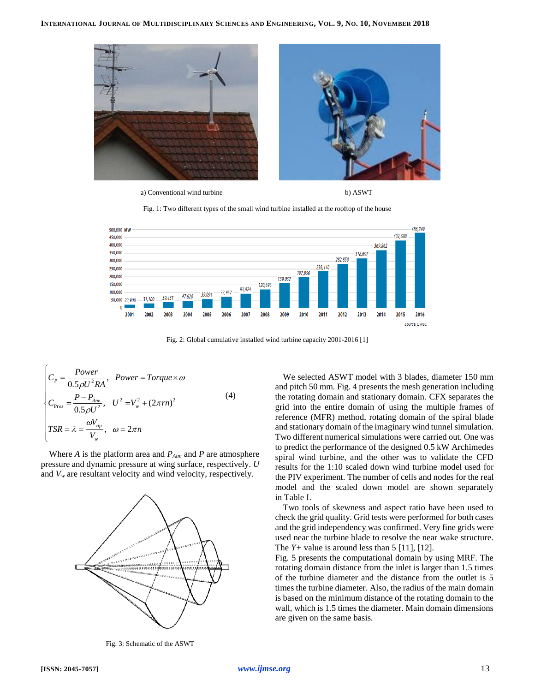

a) Conventional wind turbine b) ASWT





Fig. 2: Global cumulative installed wind turbine capacity 2001-2016 [1]

$$
\begin{cases}\nC_p = \frac{Power}{0.5\rho U^2 R A}, & Power = Torque \times \omega \\
C_{\text{Pres}} = \frac{P - P_{\text{A\text{tm}}}}{0.5\rho U^2}, & U^2 = V_w^2 + (2\pi r n)^2 \\
TSR = \lambda = \frac{\omega V_{\text{up}}}{V_w}, & \omega = 2\pi n\n\end{cases}
$$
\n(4)

Where *A* is the platform area and *PAtm* and *P* are atmosphere pressure and dynamic pressure at wing surface, respectively. *U* and *V<sup>w</sup>* are resultant velocity and wind velocity, respectively.



Fig. 3: Schematic of the ASWT

We selected ASWT model with 3 blades, diameter 150 mm and pitch 50 mm. Fig. 4 presents the mesh generation including the rotating domain and stationary domain. CFX separates the grid into the entire domain of using the multiple frames of reference (MFR) method, rotating domain of the spiral blade and stationary domain of the imaginary wind tunnel simulation. Two different numerical simulations were carried out. One was to predict the performance of the designed 0.5 kW Archimedes spiral wind turbine, and the other was to validate the CFD results for the 1:10 scaled down wind turbine model used for the PIV experiment. The number of cells and nodes for the real model and the scaled down model are shown separately in Table I.

Two tools of skewness and aspect ratio have been used to check the grid quality. Grid tests were performed for both cases and the grid independency was confirmed. Very fine grids were used near the turbine blade to resolve the near wake structure. The  $Y+$  value is around less than 5 [11], [12].

Fig. 5 presents the computational domain by using MRF. The rotating domain distance from the inlet is larger than 1.5 times of the turbine diameter and the distance from the outlet is 5 times the turbine diameter. Also, the radius of the main domain is based on the minimum distance of the rotating domain to the wall, which is 1.5 times the diameter. Main domain dimensions are given on the same basis.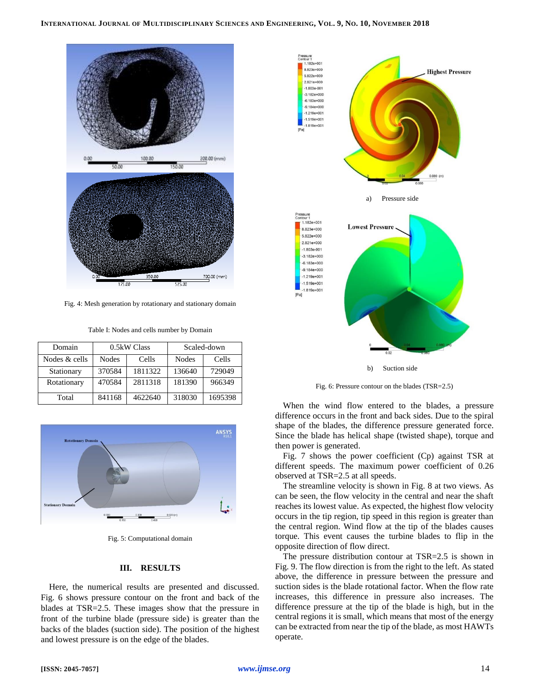

Fig. 4: Mesh generation by rotationary and stationary domain

Table I: Nodes and cells number by Domain

| Domain        | $0.5kW$ Class |         | Scaled-down |         |
|---------------|---------------|---------|-------------|---------|
| Nodes & cells | <b>Nodes</b>  | Cells   | Nodes       | Cells   |
| Stationary    | 370584        | 1811322 | 136640      | 729049  |
| Rotationary   | 470584        | 2811318 | 181390      | 966349  |
| Total         | 841168        | 4622640 | 318030      | 1695398 |



Fig. 5: Computational domain

### **III. RESULTS**

Here, the numerical results are presented and discussed. Fig. 6 shows pressure contour on the front and back of the blades at TSR=2.5. These images show that the pressure in front of the turbine blade (pressure side) is greater than the backs of the blades (suction side). The position of the highest and lowest pressure is on the edge of the blades.



Fig. 6: Pressure contour on the blades (TSR=2.5)

When the wind flow entered to the blades, a pressure difference occurs in the front and back sides. Due to the spiral shape of the blades, the difference pressure generated force. Since the blade has helical shape (twisted shape), torque and then power is generated.

Fig. 7 shows the power coefficient (Cp) against TSR at different speeds. The maximum power coefficient of 0.26 observed at TSR=2.5 at all speeds.

The streamline velocity is shown in Fig. 8 at two views. As can be seen, the flow velocity in the central and near the shaft reaches its lowest value. As expected, the highest flow velocity occurs in the tip region, tip speed in this region is greater than the central region. Wind flow at the tip of the blades causes torque. This event causes the turbine blades to flip in the opposite direction of flow direct.

The pressure distribution contour at TSR=2.5 is shown in Fig. 9. The flow direction is from the right to the left. As stated above, the difference in pressure between the pressure and suction sides is the blade rotational factor. When the flow rate increases, this difference in pressure also increases. The difference pressure at the tip of the blade is high, but in the central regions it is small, which means that most of the energy can be extracted from near the tip of the blade, as most HAWTs operate.